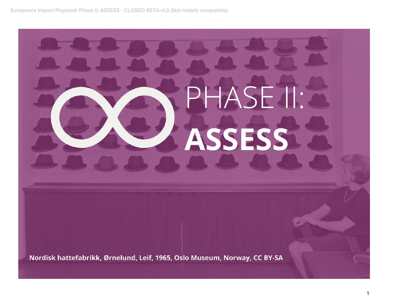# PHASE II: **ASSESS**

Nordisk hattefabrikk, Ørnelund, Leif, 1965, Oslo Museum, Norway, CC BY-SA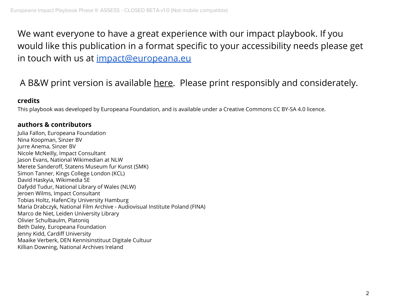We want everyone to have a great experience with our impact playbook. If you would like this publication in a format specific to your accessibility needs please get in touch with us at impact@europeana.eu

### A B&W print version is available here. Please print responsibly and considerately.

#### **credits**

This playbook was developed by Europeana Foundation, and is available under a Creative Commons CC BY-SA 4.0 licence.

#### **authors & contributors**

Julia Fallon, Europeana Foundation Nina Koopman, Sinzer BV Jurre Anema, Sinzer BV Nicole McNeilly, Impact Consultant Jason Evans, National Wikimedian at NLW Merete Sanderoff, Statens Museum fur Kunst (SMK) Simon Tanner, Kings College London (KCL) David Haskyia, Wikimedia SE Dafydd Tudur, National Library of Wales (NLW) Jeroen Wilms, Impact Consultant Tobias Holtz, HafenCity University Hamburg Maria Drabczyk, National Film Archive - Audiovisual Institute Poland (FINA) Marco de Niet, Leiden University Library Olivier Schulbaulm, Platoniq Beth Daley, Europeana Foundation Jenny Kidd, Cardiff University Maaike Verberk, DEN Kennisinstituut Digitale Cultuur Killian Downing, National Archives Ireland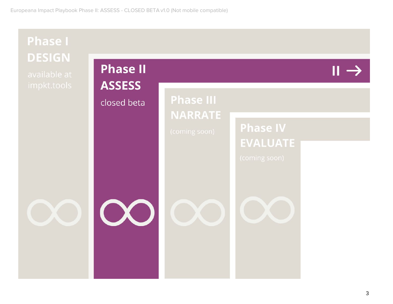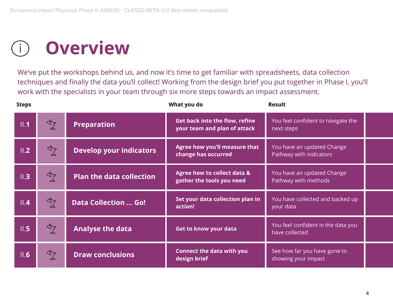### **Overview**

We've put the workshops behind us, and now it's time to get familiar with spreadsheets, data collection techniques and finally the data you'll collect! Working from the design brief you put together in Phase I, you'll work with the specialists in your team through six more steps towards an impact assessment.

| <b>Steps</b> |               |                                 | What you do                                                           | <b>Result</b>                                         |  |
|--------------|---------------|---------------------------------|-----------------------------------------------------------------------|-------------------------------------------------------|--|
| II.1         | $\mathbb{Z}$  | <b>Preparation</b>              | <b>Get back into the flow, refine</b><br>your team and plan of attack | You feel confident to navigate the<br>next steps      |  |
| II.2         | $\frac{1}{2}$ | <b>Develop your indicators</b>  | Agree how you'll measure that<br>change has occurred                  | You have an updated Change<br>Pathway with indicators |  |
| II.3         | ষ্টু          | <b>Plan the data collection</b> | Agree how to collect data &<br>gather the tools you need              | You have an updated Change<br>Pathway with methods    |  |
| II.4         | ষ্টু          | <b>Data Collection  Go!</b>     | Set your data collection plan in<br>action!                           | You have collected and backed up<br>your da <u>ta</u> |  |
| II.5         | $\mathbb{Z}$  | <b>Analyse the data</b>         | <b>Get to know your data</b>                                          | You feel confident in the data you<br>have collected  |  |
| II.6         | ষ্টু          | <b>Draw conclusions</b>         | <b>Connect the data with you</b><br>design brief                      | See how far you have gone to<br>showing your impact   |  |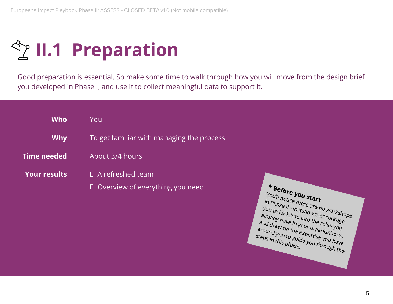**<sup><b>S<sub>Z</sub>** II.1 Preparation</sup>

Good preparation is essential. So make some time to walk through how you will move from the design brief you developed in Phase I, and use it to collect meaningful data to support it.

| <b>Who</b>          | You                                                               |  |
|---------------------|-------------------------------------------------------------------|--|
| <b>Why</b>          | To get familiar with managing the process                         |  |
| Time needed         | About 3/4 hours                                                   |  |
| <b>Your results</b> | $\Box$ A refreshed team<br>$\Box$ Overview of everything you need |  |
|                     |                                                                   |  |

\* Before you start **Before you start**<br>
You'll notice there are no workshops<br>
you to look into instead we encorkshops<br>
already have into the prourage Tou'll notice there are no workshop<br>you to look into instead we encourage<br>already have into into the ricourage<br>already have in your a roles you. Thase II - instead we encourage<br>you to look into into the encourage<br>already have in your othe roles you<br>and draw on the experimentation already have in your orkshop<br>and draw on the encourage<br>and draw on the expertisations,<br>around you the expertisations,<br>teps in the to guide and draw on the expertise you have in the roles you<br>around you the expertise you around you to guide you have the expertise you have and draw on the expertise you have<br>around you to guide you through the<br>steps in this phase.<br>phase. steps in this phase.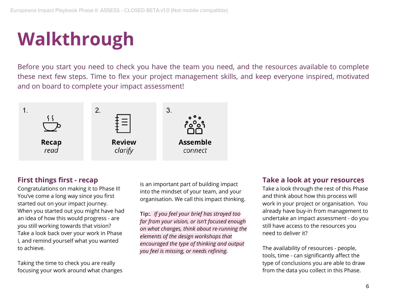### **Walkthrough**

Before you start you need to check you have the team you need, and the resources available to complete these next few steps. Time to flex your project management skills, and keep everyone inspired, motivated and on board to complete your impact assessment!



#### **First things first - recap**

Congratulations on making it to Phase II! You've come a long way since you first started out on your impact journey. When you started out you might have had an idea of how this would progress - are you still working towards that vision? Take a look back over your work in Phase I, and remind yourself what you wanted to achieve.

Taking the time to check you are really focusing your work around what changes is an important part of building impact into the mindset of your team, and your organisation. We call this impact thinking.

**Tip:***. If you feel your brief has strayed too far from your vision, or isn't focused enough on what changes, think about re-running the elements of the design workshops that encouraged the type of thinking and output you feel is missing, or needs refining.*

#### **Take a look at your resources**

Take a look through the rest of this Phase and think about how this process will work in your project or organisation. You already have buy-in from management to undertake an impact assessment - do you still have access to the resources you need to deliver it?

The availability of resources - people, tools, time - can significantly affect the type of conclusions you are able to draw from the data you collect in this Phase.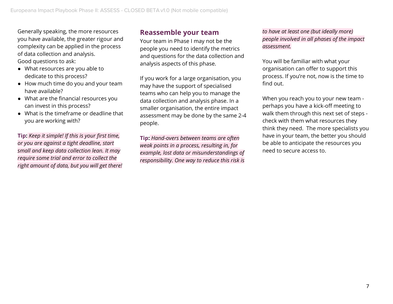Generally speaking, the more resources you have available, the greater rigour and complexity can be applied in the process of data collection and analysis. Good questions to ask:

- What resources are you able to dedicate to this process?
- How much time do you and your team have available?
- What are the financial resources you can invest in this process?
- What is the timeframe or deadline that you are working with?

**Tip:** *Keep it simple! If this is your first time, or you are against a tight deadline, start small and keep data collection lean. It may require some trial and error to collect the right amount of data, but you will get there!*

#### **Reassemble your team**

Your team in Phase I may not be the people you need to identify the metrics and questions for the data collection and analysis aspects of this phase.

If you work for a large organisation, you may have the support of specialised teams who can help you to manage the data collection and analysis phase. In a smaller organisation, the entire impact assessment may be done by the same 2-4 people.

**Tip:** *Hand-overs between teams are often weak points in a process, resulting in, for example, lost data or misunderstandings of responsibility. One way to reduce this risk is* *to have at least one (but ideally more) people involved in all phases of the impact assessment.*

You will be familiar with what your organisation can offer to support this process. If you're not, now is the time to find out.

When you reach you to your new team perhaps you have a kick-off meeting to walk them through this next set of steps check with them what resources they think they need. The more specialists you have in your team, the better you should be able to anticipate the resources you need to secure access to.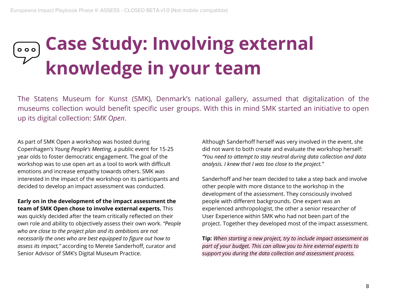### **Case Study: Involving external**  $000$ **knowledge in your team**

The Statens Museum for Kunst (SMK), Denmark's national gallery, assumed that digitalization of the museums collection would benefit specific user groups. With this in mind SMK started an initiative to open up its digital collection: *SMK Open*.

As part of SMK Open a workshop was hosted during Copenhagen's *Young People's Meeting*, a public event for 15-25 year olds to foster democratic engagement. The goal of the workshop was to use open art as a tool to work with difficult emotions and increase empathy towards others. SMK was interested in the impact of the workshop on its participants and decided to develop an impact assessment was conducted.

**Early on in the development of the impact assessment the team of SMK Open chose to involve external experts.** This was quickly decided after the team critically reflected on their own role and ability to objectively assess their own work. *"People who are close to the project plan and its ambitions are not necessarily the ones who are best equipped to figure out how to assess its impact,"* according to Merete Sanderhoff, curator and Senior Advisor of SMK's Digital Museum Practice.

Although Sanderhoff herself was very involved in the event, she did not want to both create and evaluate the workshop herself: *"You need to attempt to stay neutral during data collection and data analysis. I knew that I was too close to the project."*

Sanderhoff and her team decided to take a step back and involve other people with more distance to the workshop in the development of the assessment. They consciously involved people with different backgrounds. One expert was an experienced anthropologist, the other a senior researcher of User Experience within SMK who had not been part of the project. Together they developed most of the impact assessment.

**Tip:** *When starting a new project, try to include impact assessment as part of your budget. This can allow you to hire external experts to support you during the data collection and assessment process.*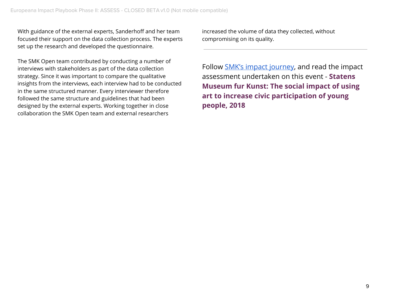With guidance of the external experts, Sanderhoff and her team focused their support on the data collection process. The experts set up the research and developed the questionnaire.

The SMK Open team contributed by conducting a number of interviews with stakeholders as part of the data collection strategy. Since it was important to compare the qualitative insights from the interviews, each interview had to be conducted in the same structured manner. Every interviewer therefore followed the same structure and guidelines that had been designed by the external experts. Working together in close collaboration the SMK Open team and external researchers

increased the volume of data they collected, without compromising on its quality.

Follow SMK's impact journey, and read the impact assessment undertaken on this event - **Statens Museum fur Kunst: The social impact of using art to increase civic participation of young people, 2018**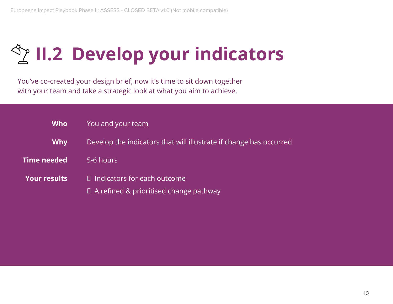# **The II.2 Develop your indicators**

You've co-created your design brief, now it's time to sit down together with your team and take a strategic look at what you aim to achieve.

| <b>Who</b>          | You and your team                                                                   |  |
|---------------------|-------------------------------------------------------------------------------------|--|
| <b>Why</b>          | Develop the indicators that will illustrate if change has occurred                  |  |
| Time needed         | 5-6 hours                                                                           |  |
| <b>Your results</b> | $\Box$ Indicators for each outcome<br>$\Box$ A refined & prioritised change pathway |  |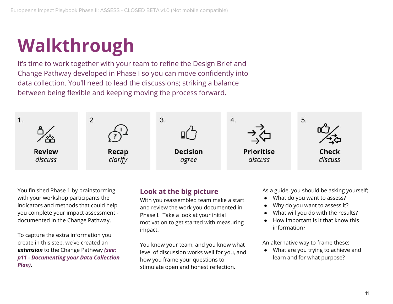# **Walkthrough**

It's time to work together with your team to refine the Design Brief and Change Pathway developed in Phase I so you can move confidently into data collection. You'll need to lead the discussions; striking a balance between being flexible and keeping moving the process forward.



You finished Phase 1 by brainstorming with your workshop participants the indicators and methods that could help you complete your impact assessment documented in the Change Pathway.

To capture the extra information you create in this step, we've created an *extension* to the Change Pathway *(see: p11 - Documenting your Data Collection Plan)*.

#### **Look at the big picture**

With you reassembled team make a start and review the work you documented in Phase I. Take a look at your initial motivation to get started with measuring impact.

You know your team, and you know what level of discussion works well for you, and how you frame your questions to stimulate open and honest reflection.

As a guide, you should be asking yourself;

- What do you want to assess?
- Why do you want to assess it?
- What will you do with the results?
- How important is it that know this information?

An alternative way to frame these:

● What are you trying to achieve and learn and for what purpose?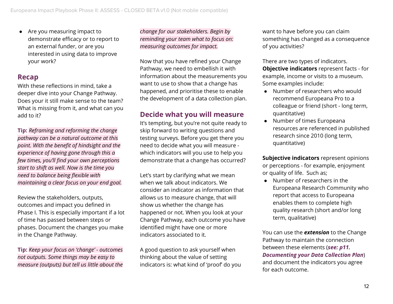● Are you measuring impact to demonstrate efficacy or to report to an external funder, or are you interested in using data to improve your work?

#### **Recap**

With these reflections in mind, take a deeper dive into your Change Pathway. Does your it still make sense to the team? What is missing from it, and what can you add to it?

**Tip:** *Reframing and reforming the change pathway can be a natural outcome at this point. With the benefit of hindsight and the experience of having gone through this a few times, you'll find your own perceptions start to shift as well. Now is the time you need to balance being flexible with maintaining a clear focus on your end goal.*

Review the stakeholders, outputs, outcomes and impact you defined in Phase I. This is especially important if a lot of time has passed between steps or phases. Document the changes you make in the Change Pathway.

**Tip:** *Keep your focus on 'change' - outcomes not outputs. Some things may be easy to measure (outputs) but tell us little about the* *change for our stakeholders. Begin by reminding your team what to focus on: measuring outcomes for impact.*

Now that you have refined your Change Pathway, we need to embellish it with information about the measurements you want to use to show that a change has happened, and prioritise these to enable the development of a data collection plan.

#### **Decide what you will measure**

It's tempting, but you're not quite ready to skip forward to writing questions and testing surveys. Before you get there you need to decide what you will measure which indicators will you use to help you demonstrate that a change has occurred?

Let's start by clarifying what we mean when we talk about indicators. We consider an indicator as information that allows us to measure change, that will show us whether the change has happened or not. When you look at your Change Pathway, each outcome you have identified might have one or more indicators associated to it.

A good question to ask yourself when thinking about the value of setting indicators is: what kind of 'proof' do you want to have before you can claim something has changed as a consequence of you activities?

There are two types of indicators. **Objective indicators** represent facts - for example, income or visits to a museum. Some examples include:

- Number of researchers who would recommend Europeana Pro to a colleague or friend (short - long term, quantitative)
- Number of times Europeana resources are referenced in published research since 2010 (long term, quantitative)

**Subjective indicators** represent opinions or perceptions - for example, enjoyment or quality of life. Such as;

● Number of researchers in the Europeana Research Community who report that access to Europeana enables them to complete high quality research (short and/or long term, qualitative)

You can use the *extension* to the Change Pathway to maintain the connection between these elements (*see: p11. Documenting your Data Collection Plan*) and document the indicators you agree for each outcome.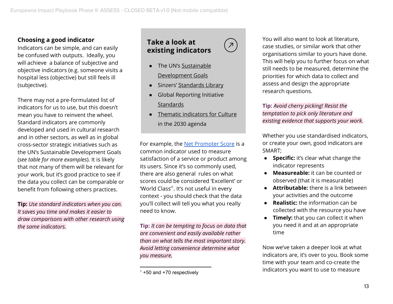#### **Choosing a good indicator**

Indicators can be simple, and can easily be confused with outputs. Ideally, you will achieve a balance of subjective and objective indicators (e.g. someone visits a hospital less (objective) but still feels ill (subjective).

There may not a pre-formulated list of indicators for us to use, but this doesn't mean you have to reinvent the wheel. Standard indicators are commonly developed and used in cultural research and in other sectors, as well as in global cross-sector strategic initiatives such as the UN's Sustainable Development Goals (*see table for more examples*). It is likely that not many of them will be relevant for your work, but it's good practice to see if the data you collect can be comparable or benefit from following others practices.

**Tip:** *Use standard indicators when you can. It saves you time and makes it easier to draw comparisons with other research using the same indicators.*

#### **Take a look at existing indicators**

 $\overline{\mathcal{L}}$ 

- The UN's Sustainable Development Goals
- Sinzers' Standards Library
- **Global Reporting Initiative** Standards
- Thematic indicators for Culture in the 2030 agenda

For example, the Net Promoter Score is a common indicator used to measure satisfaction of a service or product among its users. Since it's so commonly used, there are also general rules on what scores could be considered 'Excellent' or 'World Class'<sup>1</sup>. It's not useful in every context - you should check that the data you'll collect will tell you what you really need to know.

**Tip:** *It can be tempting to focus on data that are convenient and easily available rather than on what tells the most important story. Avoid letting convenience determine what you measure.*

You will also want to look at literature, case studies, or similar work that other organisations similar to yours have done. This will help you to further focus on what still needs to be measured, determine the priorities for which data to collect and assess and design the appropriate research questions.

**Tip:** *Avoid cherry picking! Resist the temptation to pick only literature and existing evidence that supports your work.*

Whether you use standardised indicators, or create your own, good indicators are SMART;

- **● Specific:** it's clear what change the indicator represents
- **● Measureable:** it can be counted or observed (that it is measurable)
- **● Attributable:** there is a link between your activities and the outcome
- **● Realistic:** the information can be collected with the resource you have
- **● Timely:** that you can collect it when you need it and at an appropriate time

Now we've taken a deeper look at what indicators are, it's over to you. Book some time with your team and co-create the indicators you want to use to measure

 $1 + 50$  and  $+70$  respectively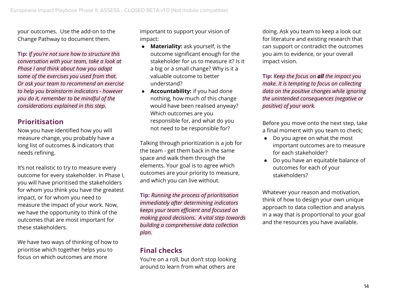your outcomes. Use the add-on to the Change Pathway to document them.

**Tip:** *If you're not sure how to structure this conversation with your team, take a look at Phase I and think about how you adapt some of the exercises you used from that. Or ask your team to recommend an exercise to help you brainstorm indicators - however you do it, remember to be mindful of the considerations explained in this step.*

#### **Prioritisation**

Now you have identified how you will measure change, you probably have a long list of outcomes & indicators that needs refining.

It's not realistic to try to measure every outcome for every stakeholder. In Phase I, you will have prioritised the stakeholders for whom you think you have the greatest impact, or for whom you need to measure the impact of your work. Now, we have the opportunity to think of the outcomes that are most important for these stakeholders.

We have two ways of thinking of how to prioritise which together helps you to focus on which outcomes are more

important to support your vision of impact:

- **● Materiality:** ask yourself, is the outcome significant enough for the stakeholder for us to measure it? Is it a big or a small change? Why is it a valuable outcome to better understand?
- **Accountability:** if you had done nothing, how much of this change would have been realised anyway? Which outcomes are you responsible for, and what do you not need to be responsible for?

Talking through prioritization is a job for the team - get them back in the same space and walk them through the elements. Your goal is to agree which outcomes are your priority to measure, and which you can live without.

**Tip:** *Running the process of prioritisation immediately after determining indicators keeps your team efficient and focused on making good decisions. A vital step towards building a comprehensive data collection plan.*

#### **Final checks**

You're on a roll, but don't stop looking around to learn from what others are

doing. Ask you team to keep a look out for literature and existing research that can support or contradict the outcomes you aim to evidence, or your overall impact vision.

**Tip:** *Keep the focus on all the impact you make. It is tempting to focus on collecting data on the positive changes while ignoring the unintended consequences (negative or positive) of your work.*

Before you move onto the next step, take a final moment with you team to check;

- Do you agree on what the most important outcomes are to measure for each stakeholder?
- Do you have an equitable balance of outcomes for each of your stakeholders?

Whatever your reason and motivation, think of how to design your own unique approach to data collection and analysis in a way that is proportional to your goal and the resources you have available.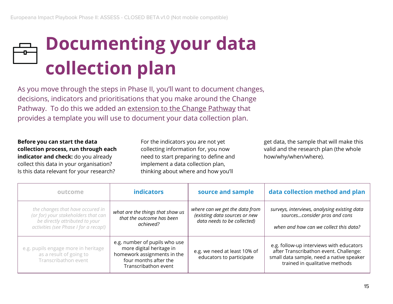# **Documenting your data collection plan**

As you move through the steps in Phase II, you'll want to document changes, decisions, indicators and prioritisations that you make around the Change Pathway. To do this we added an extension to the Change Pathway that provides a template you will use to document your data collection plan.

**Before you can start the data collection process, run through each indicator and check:** do you already collect this data in your organisation? Is this data relevant for your research?

For the indicators you are not yet collecting information for, you now need to start preparing to define and implement a data collection plan, thinking about where and how you'll

get data, the sample that will make this valid and the research plan (the whole how/why/when/where).

| outcome                                                                                                                                            | <b>indicators</b>                                                                                                                         | source and sample                                                                              | data collection method and plan                                                                                                                                  |
|----------------------------------------------------------------------------------------------------------------------------------------------------|-------------------------------------------------------------------------------------------------------------------------------------------|------------------------------------------------------------------------------------------------|------------------------------------------------------------------------------------------------------------------------------------------------------------------|
| the changes that have occured in<br>(or for) your stakeholders that can<br>be directly attributed to your<br>activities (see Phase I for a recap!) | what are the things that show us<br>that the outcome has been<br>achieved?                                                                | where can we get the data from<br>(existing data sources or new<br>data needs to be collected) | surveys, interviews, analysing existing data<br>sourcesconsider pros and cons<br>when and how can we collect this data?                                          |
| e.g. pupils engage more in heritage<br>as a result of going to<br>Transcribathon event                                                             | e.g. number of pupils who use<br>more digital heritage in<br>homework assignments in the<br>four months after the<br>Transcribathon event | e.g. we need at least 10% of<br>educators to participate                                       | e.g. follow-up interviews with educators<br>after Transcribathon event. Challenge:<br>small data sample, need a native speaker<br>trained in qualitative methods |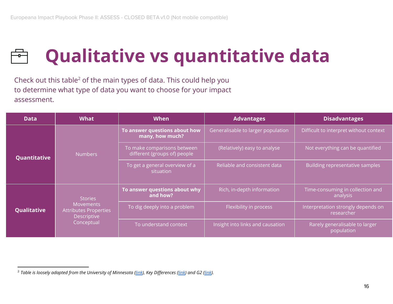

### **Qualitative vs quantitative data**

Check out this table<sup>2</sup> of the main types of data. This could help you to determine what type of data you want to choose for your impact assessment.

| <b>Data</b>  | <b>What</b>                                                                                     | <b>When</b>                                                 | <b>Advantages</b>                  | <b>Disadvantages</b>                             |
|--------------|-------------------------------------------------------------------------------------------------|-------------------------------------------------------------|------------------------------------|--------------------------------------------------|
|              | <b>Numbers</b>                                                                                  | To answer questions about how<br>many, how much?            | Generalisable to larger population | Difficult to interpret without context           |
| Quantitative |                                                                                                 | To make comparisons between<br>different (groups of) people | (Relatively) easy to analyse       | Not everything can be quantified                 |
|              |                                                                                                 | To get a general overview of a<br>situation                 | Reliable and consistent data       | Building representative samples                  |
|              | <b>Stories</b><br><b>Movements</b><br><b>Attributes Properties</b><br>Descriptive<br>Conceptual | To answer questions about why<br>and how?                   | Rich, in-depth information         | Time-consuming in collection and<br>analysis     |
| Qualitative  |                                                                                                 | To dig deeply into a problem                                | Flexibility in process             | Interpretation strongly depends on<br>researcher |
|              |                                                                                                 | To understand context                                       | Insight into links and causation   | Rarely generalisable to larger<br>population     |

<sup>&</sup>lt;sup>2</sup> Table is loosely adapted from the University of Minnesota (link), Key Differences (link) and G2 (link).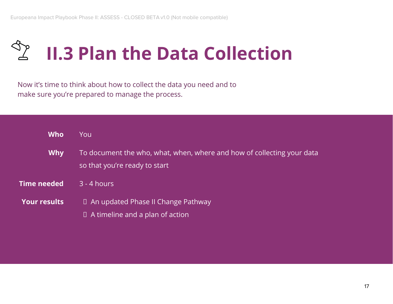

Now it's time to think about how to collect the data you need and to make sure you're prepared to manage the process.

| <b>Who</b>          | Youl                                                                                                    |
|---------------------|---------------------------------------------------------------------------------------------------------|
| <b>Why</b>          | To document the who, what, when, where and how of collecting your data<br>so that you're ready to start |
| Time needed         | $3 - 4$ hours                                                                                           |
| <b>Your results</b> | $\Box$ An updated Phase II Change Pathway<br>$\Box$ A timeline and a plan of action                     |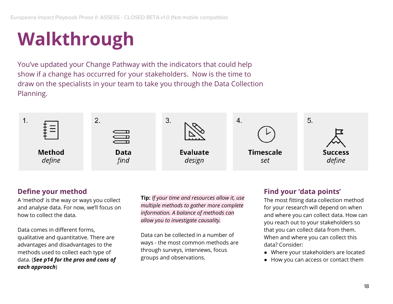### **Walkthrough**

You've updated your Change Pathway with the indicators that could help show if a change has occurred for your stakeholders. Now is the time to draw on the specialists in your team to take you through the Data Collection Planning.



#### **Define your method**

A 'method' is the way or ways you collect and analyse data. For now, we'll focus on how to collect the data.

Data comes in different forms, qualitative and quantitative. There are advantages and disadvantages to the methods used to collect each type of data. (*See p14 for the pros and cons of each approach*)

**Tip:** *If your time and resources allow it, use multiple methods to gather more complete information. A balance of methods can allow you to investigate causality.*

Data can be collected in a number of ways - the most common methods are through surveys, interviews, focus groups and observations.

#### **Find your 'data points'**

The most fitting data collection method for your research will depend on when and where you can collect data. How can you reach out to your stakeholders so that you can collect data from them. When and where you can collect this data? Consider:

- Where your stakeholders are located
- How you can access or contact them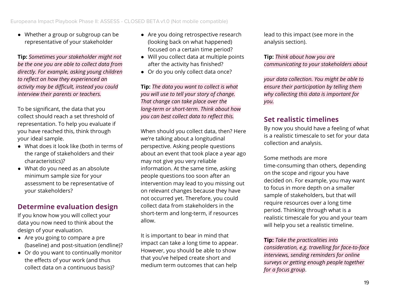● Whether a group or subgroup can be representative of your stakeholder

**Tip:** *Sometimes your stakeholder might not be the one you are able to collect data from directly. For example, asking young children to reflect on how they experienced an activity may be difficult, instead you could interview their parents or teachers.*

To be significant, the data that you collect should reach a set threshold of representation. To help you evaluate if you have reached this, think through your ideal sample.

- What does it look like (both in terms of the range of stakeholders and their characteristics)?
- What do you need as an absolute minimum sample size for your assessment to be representative of your stakeholders?

#### **Determine evaluation design**

If you know how you will collect your data you now need to think about the design of your evaluation.

- Are you going to compare a pre (baseline) and post-situation (endline)?
- Or do you want to continually monitor the effects of your work (and thus collect data on a continuous basis)?
- Are you doing retrospective research (looking back on what happened) focused on a certain time period?
- Will you collect data at multiple points after the activity has finished?
- Or do you only collect data once?

**Tip:** *The data you want to collect is what you will use to tell your story of change. That change can take place over the long-term or short-term. Think about how you can best collect data to reflect this.*

When should you collect data, then? Here we're talking about a longitudinal perspective. Asking people questions about an event that took place a year ago may not give you very reliable information. At the same time, asking people questions too soon after an intervention may lead to you missing out on relevant changes because they have not occurred yet. Therefore, you could collect data from stakeholders in the short-term and long-term, if resources allow.

It is important to bear in mind that impact can take a long time to appear. However, you should be able to show that you've helped create short and medium term outcomes that can help

lead to this impact (see more in the analysis section).

**Tip:** *Think about how you are communicating to your stakeholders about*

*your data collection. You might be able to ensure their participation by telling them why collecting this data is important for you.*

#### **Set realistic timelines**

By now you should have a feeling of what is a realistic timescale to set for your data collection and analysis.

Some methods are more time-consuming than others, depending on the scope and rigour you have decided on. For example, you may want to focus in more depth on a smaller sample of stakeholders, but that will require resources over a long time period. Thinking through what is a realistic timescale for you and your team will help you set a realistic timeline.

**Tip:** *Take the practicalities into consideration, e.g. travelling for face-to-face interviews, sending reminders for online surveys or getting enough people together for a focus group*.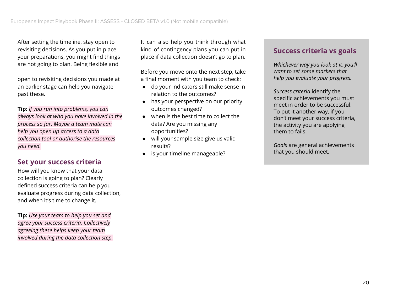After setting the timeline, stay open to revisiting decisions. As you put in place your preparations, you might find things are not going to plan. Being flexible and

open to revisiting decisions you made at an earlier stage can help you navigate past these.

**Tip:** *If you run into problems, you can always look at who you have involved in the process so far. Maybe a team mate can help you open up access to a data collection tool or authorise the resources you need.*

#### **Set your success criteria**

How will you know that your data collection is going to plan? Clearly defined success criteria can help you evaluate progress during data collection, and when it's time to change it.

**Tip:** *Use your team to help you set and agree your success criteria. Collectively agreeing these helps keep your team involved during the data collection step.* It can also help you think through what kind of contingency plans you can put in place if data collection doesn't go to plan.

Before you move onto the next step, take a final moment with you team to check;

- do your indicators still make sense in relation to the outcomes?
- has your perspective on our priority outcomes changed?
- when is the best time to collect the data? Are you missing any opportunities?
- will your sample size give us valid results?
- is your timeline manageable?

#### **Success criteria vs goals**

*Whichever way you look at it, you'll want to set some markers that help you evaluate your progress.*

*Success criteria* identify the specific achievements you must meet in order to be successful. To put it another way, if you don't meet your success criteria, the activity you are applying them to fails.

*Goals* are general achievements that you should meet.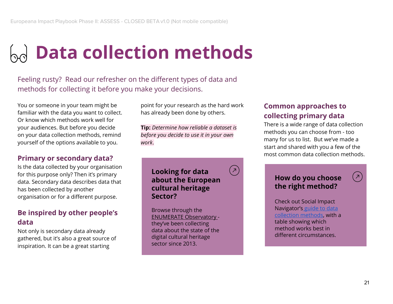### <sub>Do</sub> Data collection methods

Feeling rusty? Read our refresher on the different types of data and methods for collecting it before you make your decisions.

You or someone in your team might be familiar with the data you want to collect. Or know which methods work well for your audiences. But before you decide on your data collection methods, remind yourself of the options available to you.

#### **Primary or secondary data?**

Is the data collected by your organisation for this purpose only? Then it's primary data. Secondary data describes data that has been collected by another organisation or for a different purpose.

#### **Be inspired by other people's data**

Not only is secondary data already gathered, but it's also a great source of inspiration. It can be a great starting

point for your research as the hard work has already been done by others.

**Tip:** *Determine how reliable a dataset is before you decide to use it in your own work*.

> **Looking for data about the European cultural heritage Sector?**

 $\sqrt{2}$ 

Browse through the ENUMERATE Observatory they've been collecting data about the state of the digital cultural heritage sector since 2013.

#### **Common approaches to collecting primary data**

There is a wide range of data collection methods you can choose from - too many for us to list. But we've made a start and shared with you a few of the most common data collection methods.

#### **How do you choose the right method?**

Check out Social Impact Navigator's guide to data collection methods, with a table showing which method works best in different circumstances.

 $\left( \mathbf{v} \right)$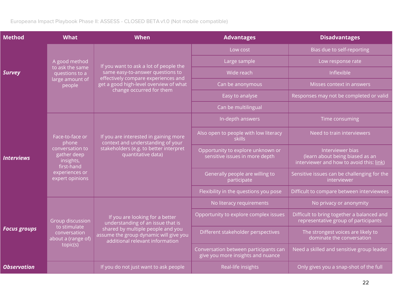| <b>Method</b>       | <b>What</b>                                                                                                                | When                                                                                                                                                                                    | <b>Advantages</b>                                                          | <b>Disadvantages</b>                                                                            |
|---------------------|----------------------------------------------------------------------------------------------------------------------------|-----------------------------------------------------------------------------------------------------------------------------------------------------------------------------------------|----------------------------------------------------------------------------|-------------------------------------------------------------------------------------------------|
|                     |                                                                                                                            |                                                                                                                                                                                         | Low cost                                                                   | Bias due to self-reporting                                                                      |
|                     | A good method<br>to ask the same<br>questions to a<br>large amount of<br>people                                            | If you want to ask a lot of people the<br>same easy-to-answer questions to<br>effectively compare experiences and<br>get a good high-level overview of what<br>change occurred for them | Large sample                                                               | Low response rate                                                                               |
| <b>Survey</b>       |                                                                                                                            |                                                                                                                                                                                         | Wide reach                                                                 | Inflexible                                                                                      |
|                     |                                                                                                                            |                                                                                                                                                                                         | Can be anonymous                                                           | Misses context in answers                                                                       |
|                     |                                                                                                                            |                                                                                                                                                                                         | Easy to analyse                                                            | Responses may not be completed or valid                                                         |
|                     |                                                                                                                            |                                                                                                                                                                                         | Can be multilingual                                                        |                                                                                                 |
|                     |                                                                                                                            |                                                                                                                                                                                         | In-depth answers                                                           | Time consuming                                                                                  |
|                     | Face-to-face or<br>phone<br>conversation to<br>gather deep<br>insights,<br>first-hand<br>experiences or<br>expert opinions | If you are interested in gaining more<br>context and understanding of your<br>stakeholders (e.g. to better interpret<br>quantitative data)                                              | Also open to people with low literacy<br><b>skills</b>                     | Need to train interviewers                                                                      |
| <b>Interviews</b>   |                                                                                                                            |                                                                                                                                                                                         | Opportunity to explore unknown or<br>sensitive issues in more depth        | Interviewer bias<br>(learn about being biased as an<br>interviewer and how to avoid this: link) |
|                     |                                                                                                                            |                                                                                                                                                                                         | Generally people are willing to<br>participate                             | Sensitive issues can be challenging for the<br>interviewer                                      |
|                     |                                                                                                                            |                                                                                                                                                                                         | Flexibility in the questions you pose                                      | Difficult to compare between interviewees                                                       |
|                     |                                                                                                                            |                                                                                                                                                                                         | No literacy requirements                                                   | No privacy or anonymity                                                                         |
|                     | Group discussion<br>to stimulate<br>conversation<br>about a (range of)<br>topic(s)                                         | If you are looking for a better<br>understanding of an issue that is<br>shared by multiple people and you<br>assume the group dynamic will give you<br>additional relevant information  | Opportunity to explore complex issues                                      | Difficult to bring together a balanced and<br>representative group of participants              |
| <b>Focus groups</b> |                                                                                                                            |                                                                                                                                                                                         | Different stakeholder perspectives                                         | The strongest voices are likely to<br>dominate the conversation                                 |
|                     |                                                                                                                            |                                                                                                                                                                                         | Conversation between participants can<br>give you more insights and nuance | Need a skilled and sensitive group leader                                                       |
| <b>Observation</b>  |                                                                                                                            | If you do not just want to ask people                                                                                                                                                   | Real-life insights                                                         | Only gives you a snap-shot of the full                                                          |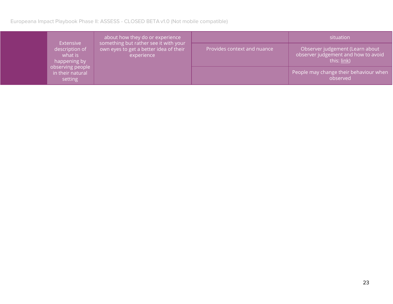Europeana Impact Playbook Phase II: ASSESS - CLOSED BETA v1.0 (Not mobile compatible)

|                                                                                                           | about how they do or experience                                                                         |                             | situation                                                                             |
|-----------------------------------------------------------------------------------------------------------|---------------------------------------------------------------------------------------------------------|-----------------------------|---------------------------------------------------------------------------------------|
| Extensive<br>description of<br>what is<br>happening by<br>observing people<br>in their natural<br>setting | something but rather see it with your $^\prime$<br>own eyes to get a better idea of their<br>experience | Provides context and nuance | Observer judgement (Learn about<br>observer judgement and how to avoid<br>this: link) |
|                                                                                                           |                                                                                                         |                             | People may change their behaviour when<br>observed                                    |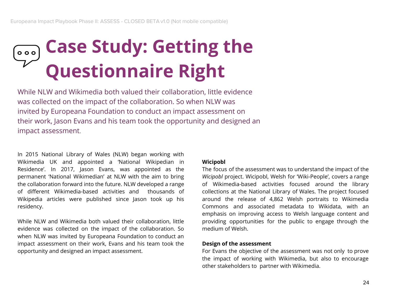### **Case Study: Getting the**  $\circ$   $\circ$   $\circ$ **Questionnaire Right**

While NLW and Wikimedia both valued their collaboration, little evidence was collected on the impact of the collaboration. So when NLW was invited by Europeana Foundation to conduct an impact assessment on their work, Jason Evans and his team took the opportunity and designed an impact assessment.

In 2015 National Library of Wales (NLW) began working with Wikimedia UK and appointed a 'National Wikipedian in Residence'. In 2017, Jason Evans, was appointed as the permanent 'National Wikimedian' at NLW with the aim to bring the collaboration forward into the future. NLW developed a range of different Wikimedia-based activities and thousands of Wikipedia articles were published since Jason took up his residency.

While NLW and Wikimedia both valued their collaboration, little evidence was collected on the impact of the collaboration. So when NLW was invited by Europeana Foundation to conduct an impact assessment on their work, Evans and his team took the opportunity and designed an impact assessment.

#### **Wicipobl**

The focus of the assessment was to understand the impact of the *Wicipobl* project. Wicipobl, Welsh for 'Wiki-People', covers a range of Wikimedia-based activities focused around the library collections at the National Library of Wales. The project focused around the release of 4,862 Welsh portraits to Wikimedia Commons and associated metadata to Wikidata, with an emphasis on improving access to Welsh language content and providing opportunities for the public to engage through the medium of Welsh.

#### **Design of the assessment**

For Evans the objective of the assessment was not only to prove the impact of working with Wikimedia, but also to encourage other stakeholders to partner with Wikimedia.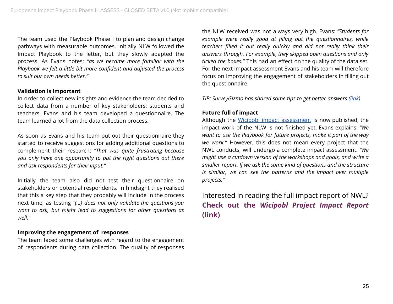The team used the Playbook Phase I to plan and design change pathways with measurable outcomes. Initially NLW followed the Impact Playbook to the letter, but they slowly adapted the process. As Evans notes; *"as we became more familiar with the Playbook we felt a little bit more confident and adjusted the process to suit our own needs better."*

#### **Validation is important**

In order to collect new insights and evidence the team decided to collect data from a number of key stakeholders; students and teachers. Evans and his team developed a questionnaire. The team learned a lot from the data collection process.

As soon as Evans and his team put out their questionnaire they started to receive suggestions for adding additional questions to complement their research: *"That was quite frustrating because you only have one opportunity to put the right questions out there and ask respondents for their input."*

Initially the team also did not test their questionnaire on stakeholders or potential respondents. In hindsight they realised that this a key step that they probably will include in the process next time, as testing *"(...) does not only validate the questions you want to ask, but might lead to suggestions for other questions as well."*

#### **Improving the engagement of responses**

The team faced some challenges with regard to the engagement of respondents during data collection. The quality of responses the NLW received was not always very high. Evans: *"Students for example were really good at filling out the questionnaires, while teachers filled it out really quickly and did not really think their answers through. For example, they skipped open questions and only ticked the boxes."* This had an effect on the quality of the data set. For the next impact assessment Evans and his team will therefore focus on improving the engagement of stakeholders in filling out the questionnaire.

*TIP: SurveyGizmo has shared some tips to get better answers (link)*

#### **Future full of impact**

Although the Wicipobl impact assessment is now published, the impact work of the NLW is not finished yet. Evans explains: *"We want to use the Playbook for future projects, make it part of the way we work."* However, this does not mean every project that the NWL conducts, will undergo a complete impact assessment. *"We might use a cutdown version of the workshops and goals, and write a smaller report. If we ask the same kind of questions and the structure is similar, we can see the patterns and the impact over multiple projects."*

Interested in reading the full impact report of NWL? **Check out the** *Wicipobl Project Impact Report* **(link)**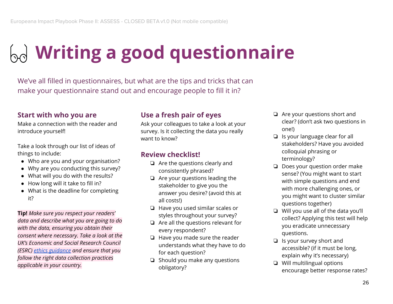## **Writing a good questionnaire**

We've all filled in questionnaires, but what are the tips and tricks that can make your questionnaire stand out and encourage people to fill it in?

#### **Start with who you are**

Make a connection with the reader and introduce yourself!

Take a look through our list of ideas of things to include:

- Who are you and your organisation?
- Why are you conducting this survey?
- What will you do with the results?
- How long will it take to fill in?
- What is the deadline for completing it?

**Tip!** *Make sure you respect your readers' data and describe what you are going to do with the data, ensuring you obtain their consent where necessary. Take a look at the UK's Economic and Social Research Council (ESRC) ethics guidance and ensure that you follow the right data collection practices applicable in your country.*

#### **Use a fresh pair of eyes**

Ask your colleagues to take a look at your survey. Is it collecting the data you really want to know?

#### **Review checklist!**

- ❏ Are the questions clearly and consistently phrased?
- ❏ Are your questions leading the stakeholder to give you the answer you desire? (avoid this at all costs!)
- ❏ Have you used similar scales or styles throughout your survey?
- ❏ Are all the questions relevant for every respondent?
- ❏ Have you made sure the reader understands what they have to do for each question?
- ❏ Should you make any questions obligatory?
- ❏ Are your questions short and clear? (don't ask two questions in one!)
- ❏ Is your language clear for all stakeholders? Have you avoided colloquial phrasing or terminology?
- ❏ Does your question order make sense? (You might want to start with simple questions and end with more challenging ones, or you might want to cluster similar questions together)
- ❏ Will you use all of the data you'll collect? Applying this test will help you eradicate unnecessary questions.
- ❏ Is your survey short and accessible? (if it must be long, explain why it's necessary)
- ❏ Will multilingual options encourage better response rates?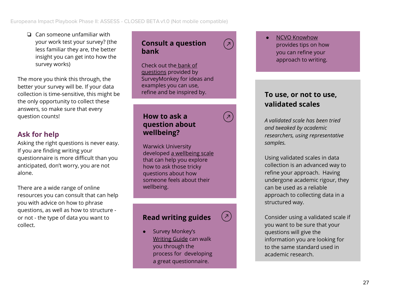❏ Can someone unfamiliar with your work test your survey? (the less familiar they are, the better insight you can get into how the survey works)

The more you think this through, the better your survey will be. If your data collection is time-sensitive, this might be the only opportunity to collect these answers, so make sure that every question counts!

#### **Ask for help**

Asking the right questions is never easy. If you are finding writing your questionnaire is more difficult than you anticipated, don't worry, you are not alone.

There are a wide range of online resources you can consult that can help you with advice on how to phrase questions, as well as how to structure or not - the type of data you want to collect.

#### **Consult a question bank**

Check out the bank of questions provided by SurveyMonkey for ideas and examples you can use, refine and be inspired by.

**How to ask a question about wellbeing?**

Warwick University developed a wellbeing scale that can help you explore how to ask those tricky questions about how someone feels about their wellbeing.

#### **Read writing guides**

 $\overline{z}$ 

● Survey Monkey's Writing Guide can walk you through the process for developing a great questionnaire.

**NCVO Knowhow** provides tips on how you can refine your approach to writing.

#### **To use, or not to use, validated scales**

*A validated scale has been tried and tweaked by academic researchers, using representative samples.*

Using validated scales in data collection is an advanced way to refine your approach. Having undergone academic rigour, they can be used as a reliable approach to collecting data in a structured way.

Consider using a validated scale if you want to be sure that your questions will give the information you are looking for to the same standard used in academic research.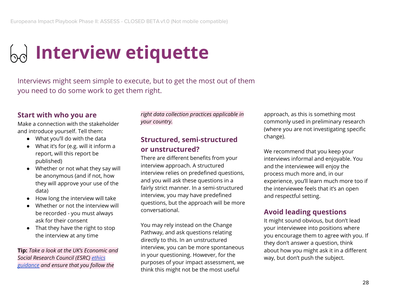### **Interview etiquette**

Interviews might seem simple to execute, but to get the most out of them you need to do some work to get them right.

#### **Start with who you are**

Make a connection with the stakeholder and introduce yourself. Tell them:

- What you'll do with the data
- What it's for (e.g. will it inform a report, will this report be published)
- Whether or not what they say will be anonymous (and if not, how they will approve your use of the data)
- How long the interview will take
- Whether or not the interview will be recorded - you must always ask for their consent
- That they have the right to stop the interview at any time

**Tip:** *Take a look at the UK's Economic and Social Research Council (ESRC) ethics guidance and ensure that you follow the*

*right data collection practices applicable in your country.*

#### **Structured, semi-structured or unstructured?**

There are different benefits from your interview approach. A structured interview relies on predefined questions, and you will ask these questions in a fairly strict manner. In a semi-structured interview, you may have predefined questions, but the approach will be more conversational.

You may rely instead on the Change Pathway, and ask questions relating directly to this. In an unstructured interview, you can be more spontaneous in your questioning. However, for the purposes of your impact assessment, we think this might not be the most useful

approach, as this is something most commonly used in preliminary research (where you are not investigating specific change).

We recommend that you keep your interviews informal and enjoyable. You and the interviewee will enjoy the process much more and, in our experience, you'll learn much more too if the interviewee feels that it's an open and respectful setting.

#### **Avoid leading questions**

It might sound obvious, but don't lead your interviewee into positions where you encourage them to agree with you. If they don't answer a question, think about how you might ask it in a different way, but don't push the subject.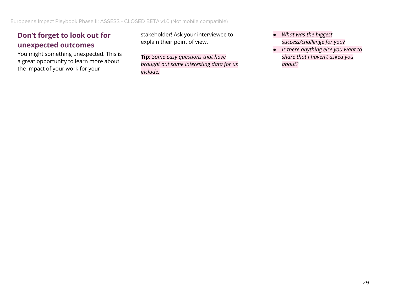#### **Don't forget to look out for unexpected outcomes**

You might something unexpected. This is a great opportunity to learn more about the impact of your work for your

stakeholder! Ask your interviewee to explain their point of view.

**Tip:** *Some easy questions that have brought out some interesting data for us include:*

- *● What was the biggest success/challenge for you?*
- *● Is there anything else you want to share that I haven't asked you about?*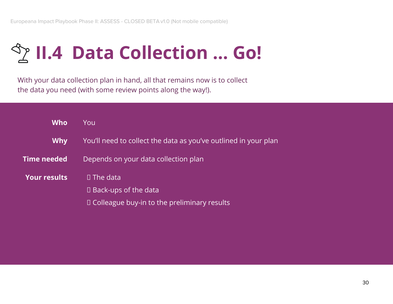### **II.4 Data Collection … Go!**

With your data collection plan in hand, all that remains now is to collect the data you need (with some review points along the way!).

| Who                 | You                                                             |  |
|---------------------|-----------------------------------------------------------------|--|
| <b>Why</b>          | You'll need to collect the data as you've outlined in your plan |  |
| Time needed         | Depends on your data collection plan                            |  |
| <b>Your results</b> | $\Box$ The data                                                 |  |
|                     | $\Box$ Back-ups of the data                                     |  |
|                     | $\Box$ Colleague buy-in to the preliminary results              |  |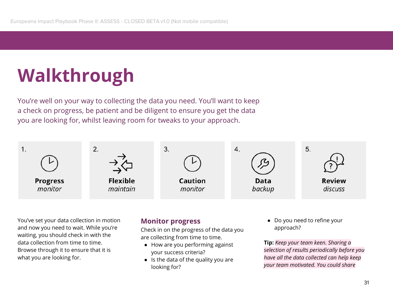### **Walkthrough**

You're well on your way to collecting the data you need. You'll want to keep a check on progress, be patient and be diligent to ensure you get the data you are looking for, whilst leaving room for tweaks to your approach.



You've set your data collection in motion and now you need to wait. While you're waiting, you should check in with the data collection from time to time. Browse through it to ensure that it is what you are looking for.

#### **Monitor progress**

Check in on the progress of the data you are collecting from time to time.

- How are you performing against your success criteria?
- Is the data of the quality you are looking for?

● Do you need to refine your approach?

**Tip:** *Keep your team keen. Sharing a selection of results periodically before you have all the data collected can help keep your team motivated. You could share*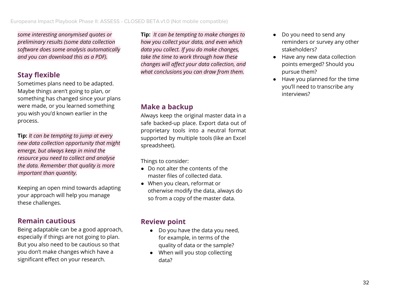*some interesting anonymised quotes or preliminary results (some data collection software does some analysis automatically and you can download this as a PDF).*

#### **Stay flexible**

Sometimes plans need to be adapted. Maybe things aren't going to plan, or something has changed since your plans were made, or you learned something you wish you'd known earlier in the process.

**Tip:** *It can be tempting to jump at every new data collection opportunity that might emerge, but always keep in mind the resource you need to collect and analyse the data. Remember that quality is more important than quantity.*

Keeping an open mind towards adapting your approach will help you manage these challenges.

#### **Remain cautious**

Being adaptable can be a good approach, especially if things are not going to plan. But you also need to be cautious so that you don't make changes which have a significant effect on your research.

**Tip:** *It can be tempting to make changes to how you collect your data, and even which data you collect. If you do make changes, take the time to work through how these changes will affect your data collection, and what conclusions you can draw from them.*

#### **Make a backup**

Always keep the original master data in a safe backed-up place. Export data out of proprietary tools into a neutral format supported by multiple tools (like an Excel spreadsheet).

Things to consider:

- Do not alter the contents of the master files of collected data.
- When you clean, reformat or otherwise modify the data, always do so from a copy of the master data.

#### **Review point**

- Do you have the data you need, for example, in terms of the quality of data or the sample?
- When will you stop collecting data?
- Do you need to send any reminders or survey any other stakeholders?
- Have any new data collection points emerged? Should you pursue them?
- Have you planned for the time you'll need to transcribe any interviews?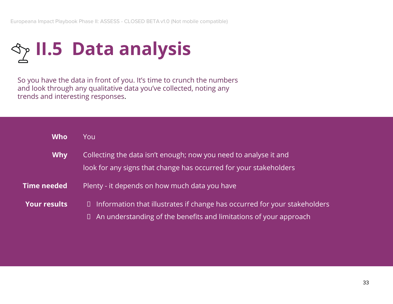

So you have the data in front of you. It's time to crunch the numbers and look through any qualitative data you've collected, noting any trends and interesting responses.

| <b>Who</b>          | You                                                                                                                                                          |  |
|---------------------|--------------------------------------------------------------------------------------------------------------------------------------------------------------|--|
| <b>Why</b>          | Collecting the data isn't enough; now you need to analyse it and<br>look for any signs that change has occurred for your stakeholders                        |  |
| <b>Time needed</b>  | Plenty - it depends on how much data you have                                                                                                                |  |
| <b>Your results</b> | $\Box$ Information that illustrates if change has occurred for your stakeholders<br>$\Box$ An understanding of the benefits and limitations of your approach |  |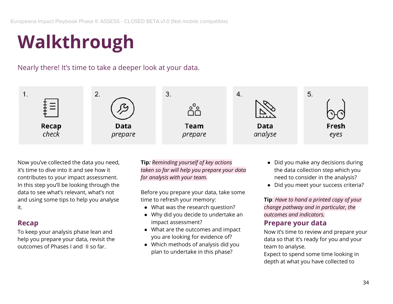### **Walkthrough**

Nearly there! It's time to take a deeper look at your data.



Now you've collected the data you need, it's time to dive into it and see how it contributes to your impact assessment. In this step you'll be looking through the data to see what's relevant, what's not and using some tips to help you analyse it.

#### **Recap**

To keep your analysis phase lean and help you prepare your data, revisit the outcomes of Phases I and II so far.

**Tip***: Reminding yourself of key actions taken so far will help you prepare your data for analysis with your team.*

Before you prepare your data, take some time to refresh your memory:

- What was the research question?
- Why did you decide to undertake an impact assessment?
- What are the outcomes and impact you are looking for evidence of?
- Which methods of analysis did you plan to undertake in this phase?
- Did you make any decisions during the data collection step which you need to consider in the analysis?
- Did you meet your success criteria?

**Tip**: *Have to hand a printed copy of your change pathway and in particular, the outcomes and indicators.*

#### **Prepare your data**

Now it's time to review and prepare your data so that it's ready for you and your team to analyse.

Expect to spend some time looking in depth at what you have collected to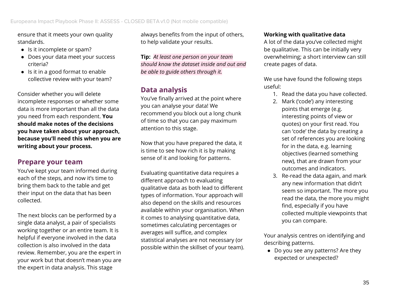ensure that it meets your own quality standards.

- Is it incomplete or spam?
- Does your data meet your success criteria?
- Is it in a good format to enable collective review with your team?

Consider whether you will delete incomplete responses or whether some data is more important than all the data you need from each respondent. **You should make notes of the decisions you have taken about your approach, because you'll need this when you are writing about your process.**

#### **Prepare your team**

You've kept your team informed during each of the steps, and now it's time to bring them back to the table and get their input on the data that has been collected.

The next blocks can be performed by a single data analyst, a pair of specialists working together or an entire team. It is helpful if everyone involved in the data collection is also involved in the data review. Remember, you are the expert in your work but that doesn't mean you are the expert in data analysis. This stage

always benefits from the input of others, to help validate your results.

**Tip:** *At least one person on your team should know the dataset inside and out and be able to guide others through it.*

#### **Data analysis**

You've finally arrived at the point where you can analyse your data! We recommend you block out a long chunk of time so that you can pay maximum attention to this stage.

Now that you have prepared the data, it is time to see how rich it is by making sense of it and looking for patterns.

Evaluating quantitative data requires a different approach to evaluating qualitative data as both lead to different types of information. Your approach will also depend on the skills and resources available within your organisation. When it comes to analysing quantitative data, sometimes calculating percentages or averages will suffice, and complex statistical analyses are not necessary (or possible within the skillset of your team).

#### **Working with qualitative data**

A lot of the data you've collected might be qualitative. This can be initially very overwhelming; a short interview can still create pages of data.

We use have found the following steps useful:

- 1. Read the data you have collected.
- 2. Mark ('code') any interesting points that emerge (e.g. interesting points of view or quotes) on your first read. You can 'code' the data by creating a set of references you are looking for in the data, e.g. learning objectives (learned something new), that are drawn from your outcomes and indicators.
- 3. Re-read the data again, and mark any new information that didn't seem so important. The more you read the data, the more you might find, especially if you have collected multiple viewpoints that you can compare.

Your analysis centres on identifying and describing patterns.

● Do you see any patterns? Are they expected or unexpected?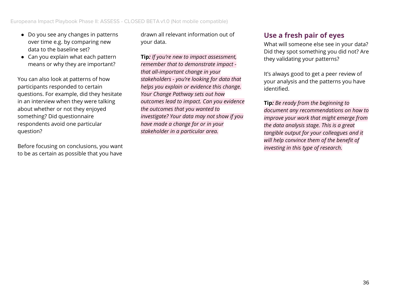- Do you see any changes in patterns over time e.g. by comparing new data to the baseline set?
- Can you explain what each pattern means or why they are important?

You can also look at patterns of how participants responded to certain questions. For example, did they hesitate in an interview when they were talking about whether or not they enjoyed something? Did questionnaire respondents avoid one particular question?

Before focusing on conclusions, you want to be as certain as possible that you have

drawn all relevant information out of your data.

**Tip***: If you're new to impact assessment, remember that to demonstrate impact that all-important change in your stakeholders - you're looking for data that helps you explain or evidence this change. Your Change Pathway sets out how outcomes lead to impact. Can you evidence the outcomes that you wanted to investigate? Your data may not show if you have made a change for or in your stakeholder in a particular area.*

#### **Use a fresh pair of eyes**

What will someone else see in your data? Did they spot something you did not? Are they validating your patterns?

It's always good to get a peer review of your analysis and the patterns you have identified.

**Tip***: Be ready from the beginning to document any recommendations on how to improve your work that might emerge from the data analysis stage. This is a great tangible output for your colleagues and it will help convince them of the benefit of investing in this type of research.*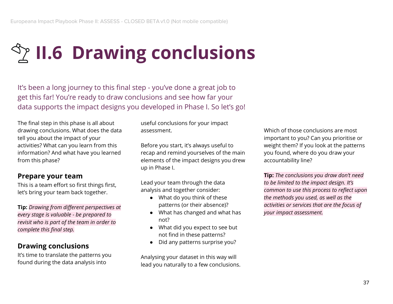# **II.6 Drawing conclusions**

It's been a long journey to this final step - you've done a great job to get this far! You're ready to draw conclusions and see how far your data supports the impact designs you developed in Phase I. So let's go!

The final step in this phase is all about drawing conclusions. What does the data tell you about the impact of your activities? What can you learn from this information? And what have you learned from this phase?

#### **Prepare your team**

This is a team effort so first things first, let's bring your team back together.

**Tip:** *Drawing from different perspectives at every stage is valuable - be prepared to revisit who is part of the team in order to complete this final step.*

#### **Drawing conclusions**

It's time to translate the patterns you found during the data analysis into

useful conclusions for your impact assessment.

Before you start, it's always useful to recap and remind yourselves of the main elements of the impact designs you drew up in Phase I.

Lead your team through the data analysis and together consider:

- What do you think of these patterns (or their absence)?
- What has changed and what has not?
- What did you expect to see but not find in these patterns?
- Did any patterns surprise you?

Analysing your dataset in this way will lead you naturally to a few conclusions.

Which of those conclusions are most important to you? Can you prioritise or weight them? If you look at the patterns you found, where do you draw your accountability line?

**Tip:** *The conclusions you draw don't need to be limited to the impact design. It's common to use this process to reflect upon the methods you used, as well as the activities or services that are the focus of your impact assessment.*